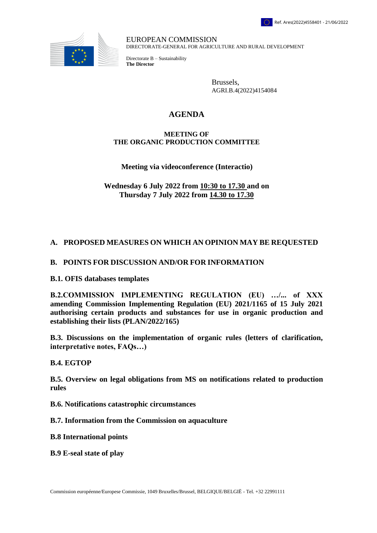

EUROPEAN COMMISSION DIRECTORATE-GENERAL FOR AGRICULTURE AND RURAL DEVELOPMENT

Directorate B – Sustainability **The Director**

> Brussels, AGRI.B.4(2022)4154084

# **AGENDA**

#### **MEETING OF THE ORGANIC PRODUCTION COMMITTEE**

### **Meeting via videoconference (Interactio)**

**Wednesday 6 July 2022 from 10:30 to 17.30 and on Thursday 7 July 2022 from 14.30 to 17.30**

## **A. PROPOSED MEASURES ON WHICH AN OPINION MAY BE REQUESTED**

## **B. POINTS FOR DISCUSSION AND/OR FOR INFORMATION**

**B.1. OFIS databases templates** 

**B.2.COMMISSION IMPLEMENTING REGULATION (EU) …/... of XXX amending Commission Implementing Regulation (EU) 2021/1165 of 15 July 2021 authorising certain products and substances for use in organic production and establishing their lists (PLAN/2022/165)** 

**B.3. Discussions on the implementation of organic rules (letters of clarification, interpretative notes, FAQs…)**

#### **B.4. EGTOP**

**B.5. Overview on legal obligations from MS on notifications related to production rules**

**B.6. Notifications catastrophic circumstances**

**B.7. Information from the Commission on aquaculture**

**B.8 International points** 

**B.9 E-seal state of play**